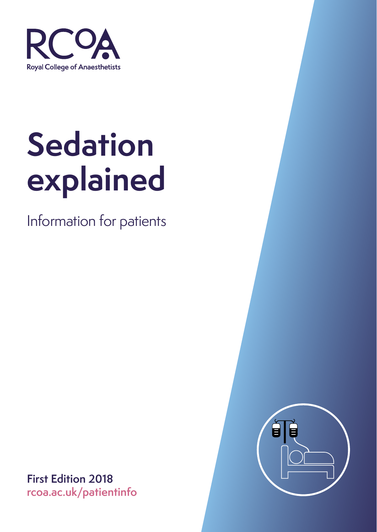

Information for patients



**First Edition 2018 rcoa.ac.uk/patientinfo**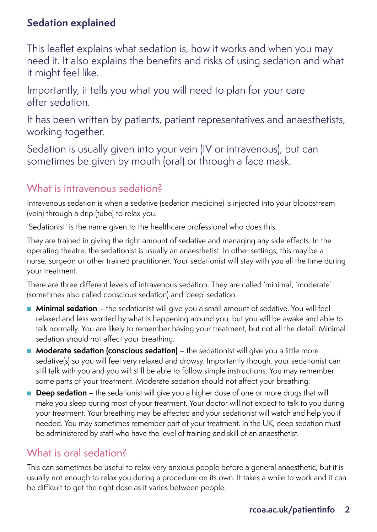This leaflet explains what sedation is, how it works and when you may need it. It also explains the benefits and risks of using sedation and what it might feel like.

Importantly, it tells you what you will need to plan for your care after sedation.

It has been written by patients, patient representatives and anaesthetists, working together.

Sedation is usually given into your vein (IV or intravenous), but can sometimes be given by mouth (oral) or through a face mask.

#### What is intravenous sedation?

Intravenous sedation is when a sedative (sedation medicine) is injected into your bloodstream (vein) through a drip (tube) to relax you.

'Sedationist' is the name given to the healthcare professional who does this.

They are trained in giving the right amount of sedative and managing any side effects. In the operating theatre, the sedationist is usually an anaesthetist. In other settings, this may be a nurse, surgeon or other trained practitioner. Your sedationist will stay with you all the time during your treatment.

There are three different levels of intravenous sedation. They are called 'minimal', 'moderate' (sometimes also called conscious sedation) and 'deep' sedation.

- **Minimal sedation** the sedationist will give you a small amount of sedative. You will feel relaxed and less worried by what is happening around you, but you will be awake and able to talk normally. You are likely to remember having your treatment, but not all the detail. Minimal sedation should not affect your breathing.
- **Moderate sedation (conscious sedation)** the sedationist will give you a little more sedative(s) so you will feel very relaxed and drowsy. Importantly though, your sedationist can still talk with you and you will still be able to follow simple instructions. You may remember some parts of your treatment. Moderate sedation should not affect your breathing.
- **Deep sedation** the sedationist will give you a higher dose of one or more drugs that will make you sleep during most of your treatment. Your doctor will not expect to talk to you during your treatment. Your breathing may be affected and your sedationist will watch and help you if needed. You may sometimes remember part of your treatment. In the UK, deep sedation must be administered by staff who have the level of training and skill of an anaesthetist.

## What is oral sedation?

This can sometimes be useful to relax very anxious people before a general anaesthetic, but it is usually not enough to relax you during a procedure on its own. It takes a while to work and it can be difficult to get the right dose as it varies between people.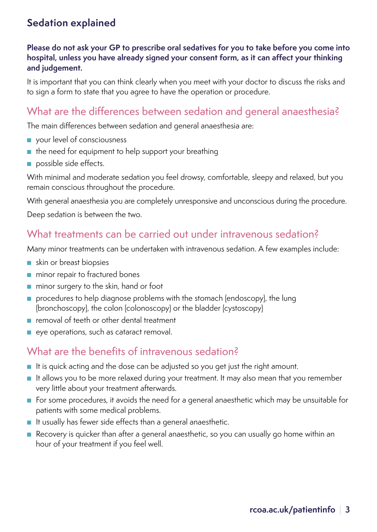#### **Please do not ask your GP to prescribe oral sedatives for you to take before you come into hospital, unless you have already signed your consent form, as it can affect your thinking and judgement.**

It is important that you can think clearly when you meet with your doctor to discuss the risks and to sign a form to state that you agree to have the operation or procedure.

#### What are the differences between sedation and general anaesthesia?

The main differences between sedation and general anaesthesia are:

- your level of consciousness
- the need for equipment to help support your breathing
- possible side effects.

With minimal and moderate sedation you feel drowsy, comfortable, sleepy and relaxed, but you remain conscious throughout the procedure.

With general anaesthesia you are completely unresponsive and unconscious during the procedure.

Deep sedation is between the two.

#### What treatments can be carried out under intravenous sedation?

Many minor treatments can be undertaken with intravenous sedation. A few examples include:

- skin or breast biopsies
- minor repair to fractured bones
- minor surgery to the skin, hand or foot
- procedures to help diagnose problems with the stomach (endoscopy), the lung (bronchoscopy), the colon (colonoscopy) or the bladder (cystoscopy)
- removal of teeth or other dental treatment
- eye operations, such as cataract removal.

#### What are the benefits of intravenous sedation?

- It is quick acting and the dose can be adjusted so you get just the right amount.
- It allows you to be more relaxed during your treatment. It may also mean that you remember very little about your treatment afterwards.
- For some procedures, it avoids the need for a general anaesthetic which may be unsuitable for patients with some medical problems.
- It usually has fewer side effects than a general anaesthetic.
- Recovery is quicker than after a general anaesthetic, so you can usually go home within an hour of your treatment if you feel well.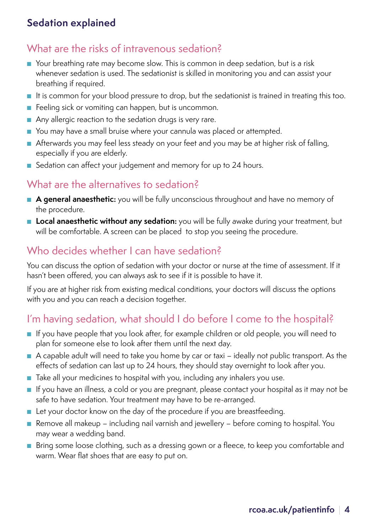#### What are the risks of intravenous sedation?

- Your breathing rate may become slow. This is common in deep sedation, but is a risk whenever sedation is used. The sedationist is skilled in monitoring you and can assist your breathing if required.
- It is common for your blood pressure to drop, but the sedationist is trained in treating this too.
- Feeling sick or vomiting can happen, but is uncommon.
- Any allergic reaction to the sedation drugs is very rare.
- You may have a small bruise where your cannula was placed or attempted.
- Afterwards you may feel less steady on your feet and you may be at higher risk of falling, especially if you are elderly.
- Sedation can affect your judgement and memory for up to 24 hours.

#### What are the alternatives to sedation?

- **A general anaesthetic:** you will be fully unconscious throughout and have no memory of the procedure.
- Local anaesthetic without any sedation: you will be fully awake during your treatment, but will be comfortable. A screen can be placed to stop you seeing the procedure.

#### Who decides whether I can have sedation?

You can discuss the option of sedation with your doctor or nurse at the time of assessment. If it hasn't been offered, you can always ask to see if it is possible to have it.

If you are at higher risk from existing medical conditions, your doctors will discuss the options with you and you can reach a decision together.

# I'm having sedation, what should I do before I come to the hospital?

- If you have people that you look after, for example children or old people, you will need to plan for someone else to look after them until the next day.
- A capable adult will need to take you home by car or taxi ideally not public transport. As the effects of sedation can last up to 24 hours, they should stay overnight to look after you.
- Take all your medicines to hospital with you, including any inhalers you use.
- If you have an illness, a cold or you are pregnant, please contact your hospital as it may not be safe to have sedation. Your treatment may have to be re-arranged.
- Let your doctor know on the day of the procedure if you are breastfeeding.
- Remove all makeup including nail varnish and jewellery before coming to hospital. You may wear a wedding band.
- Bring some loose clothing, such as a dressing gown or a fleece, to keep you comfortable and warm. Wear flat shoes that are easy to put on.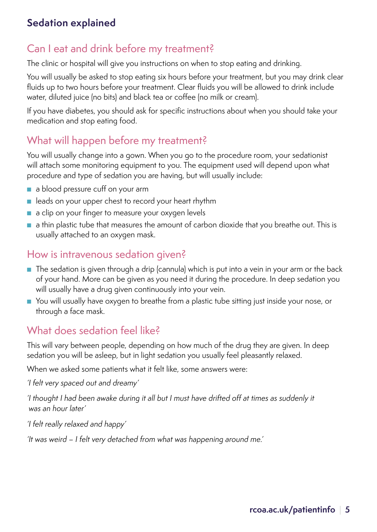#### Can I eat and drink before my treatment?

The clinic or hospital will give you instructions on when to stop eating and drinking.

You will usually be asked to stop eating six hours before your treatment, but you may drink clear fluids up to two hours before your treatment. Clear fluids you will be allowed to drink include water, diluted juice (no bits) and black tea or coffee (no milk or cream).

If you have diabetes, you should ask for specific instructions about when you should take your medication and stop eating food.

#### What will happen before my treatment?

You will usually change into a gown. When you go to the procedure room, your sedationist will attach some monitoring equipment to you. The equipment used will depend upon what procedure and type of sedation you are having, but will usually include:

- a blood pressure cuff on your arm
- leads on your upper chest to record your heart rhythm
- a clip on your finger to measure your oxygen levels
- a thin plastic tube that measures the amount of carbon dioxide that you breathe out. This is usually attached to an oxygen mask.

#### How is intravenous sedation given?

- The sedation is given through a drip (cannula) which is put into a vein in your arm or the back of your hand. More can be given as you need it during the procedure. In deep sedation you will usually have a drug given continuously into your vein.
- You will usually have oxygen to breathe from a plastic tube sitting just inside your nose, or through a face mask.

#### What does sedation feel like?

This will vary between people, depending on how much of the drug they are given. In deep sedation you will be asleep, but in light sedation you usually feel pleasantly relaxed.

When we asked some patients what it felt like, some answers were:

*'I felt very spaced out and dreamy'*

*'I thought I had been awake during it all but I must have drifted off at times as suddenly it was an hour later'*

*'I felt really relaxed and happy'*

*'It was weird – I felt very detached from what was happening around me.'*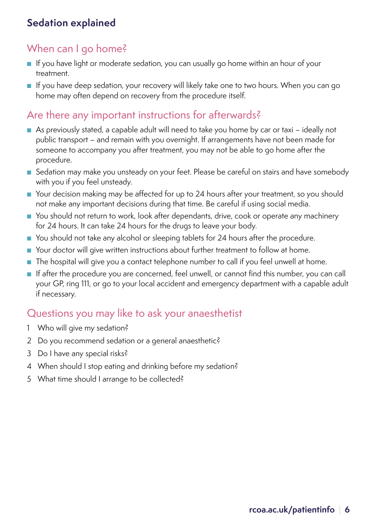#### When can I go home?

- If you have light or moderate sedation, you can usually go home within an hour of your treatment.
- If you have deep sedation, your recovery will likely take one to two hours. When you can go home may often depend on recovery from the procedure itself.

#### Are there any important instructions for afterwards?

- As previously stated, a capable adult will need to take you home by car or taxi ideally not public transport – and remain with you overnight. If arrangements have not been made for someone to accompany you after treatment, you may not be able to go home after the procedure.
- Sedation may make you unsteady on your feet. Please be careful on stairs and have somebody with you if you feel unsteady.
- Your decision making may be affected for up to 24 hours after your treatment, so you should not make any important decisions during that time. Be careful if using social media.
- You should not return to work, look after dependants, drive, cook or operate any machinery for 24 hours. It can take 24 hours for the drugs to leave your body.
- You should not take any alcohol or sleeping tablets for 24 hours after the procedure.
- Your doctor will give written instructions about further treatment to follow at home.
- The hospital will give you a contact telephone number to call if you feel unwell at home.
- If after the procedure you are concerned, feel unwell, or cannot find this number, you can call your GP, ring 111, or go to your local accident and emergency department with a capable adult if necessary.

#### Questions you may like to ask your anaesthetist

- 1 Who will give my sedation?
- 2 Do you recommend sedation or a general anaesthetic?
- 3 Do I have any special risks?
- 4 When should I stop eating and drinking before my sedation?
- 5 What time should I arrange to be collected?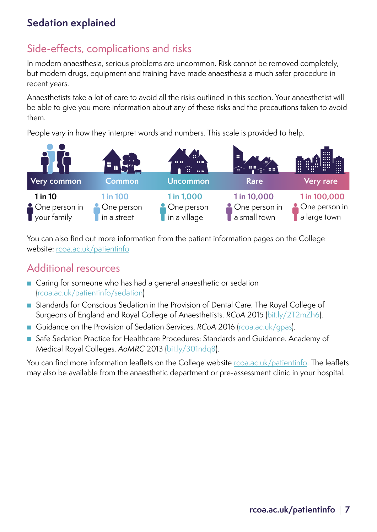## Side-effects, complications and risks

In modern anaesthesia, serious problems are uncommon. Risk cannot be removed completely, but modern drugs, equipment and training have made anaesthesia a much safer procedure in recent years.

Anaesthetists take a lot of care to avoid all the risks outlined in this section. Your anaesthetist will be able to give you more information about any of these risks and the precautions taken to avoid them.

People vary in how they interpret words and numbers. This scale is provided to help.



You can also find out more information from the patient information pages on the College website: rcoa.ac.uk/patientinfo

#### Additional resources

- Caring for someone who has had a general anaesthetic or sedation (rcoa.ac.uk/patientinfo/sedation)
- Standards for Conscious Sedation in the Provision of Dental Care. The Royal College of Surgeons of England and Royal College of Anaesthetists. *RCoA* 2015 (bit.ly/2T2mZh6).
- Guidance on the Provision of Sedation Services. *RCoA* 2016 (rcoa.ac.uk/qpas).
- Safe Sedation Practice for Healthcare Procedures: Standards and Guidance. Academy of Medical Royal Colleges. *AoMRC* 2013 ([bit.ly/301ndq8\)](http://bit.ly/301ndq8).

You can find more information leaflets on the College website rcoa.ac.uk/patientinfo. The leaflets may also be available from the anaesthetic department or pre-assessment clinic in your hospital.